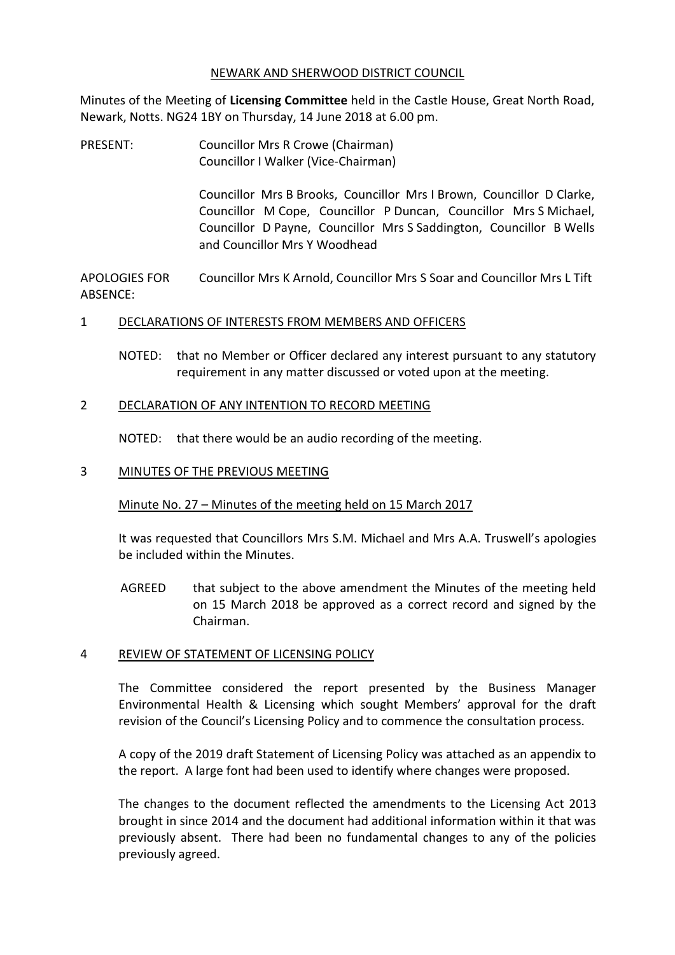#### NEWARK AND SHERWOOD DISTRICT COUNCIL

Minutes of the Meeting of **Licensing Committee** held in the Castle House, Great North Road, Newark, Notts. NG24 1BY on Thursday, 14 June 2018 at 6.00 pm.

PRESENT: Councillor Mrs R Crowe (Chairman) Councillor I Walker (Vice-Chairman)

> Councillor Mrs B Brooks, Councillor Mrs I Brown, Councillor D Clarke, Councillor M Cope, Councillor P Duncan, Councillor Mrs S Michael, Councillor D Payne, Councillor Mrs S Saddington, Councillor B Wells and Councillor Mrs Y Woodhead

APOLOGIES FOR ARSENCE<sup>.</sup> Councillor Mrs K Arnold, Councillor Mrs S Soar and Councillor Mrs L Tift

## 1 DECLARATIONS OF INTERESTS FROM MEMBERS AND OFFICERS

NOTED: that no Member or Officer declared any interest pursuant to any statutory requirement in any matter discussed or voted upon at the meeting.

#### 2 DECLARATION OF ANY INTENTION TO RECORD MEETING

NOTED: that there would be an audio recording of the meeting.

#### 3 MINUTES OF THE PREVIOUS MEETING

## Minute No. 27 – Minutes of the meeting held on 15 March 2017

It was requested that Councillors Mrs S.M. Michael and Mrs A.A. Truswell's apologies be included within the Minutes.

AGREED that subject to the above amendment the Minutes of the meeting held on 15 March 2018 be approved as a correct record and signed by the Chairman.

## 4 REVIEW OF STATEMENT OF LICENSING POLICY

The Committee considered the report presented by the Business Manager Environmental Health & Licensing which sought Members' approval for the draft revision of the Council's Licensing Policy and to commence the consultation process.

A copy of the 2019 draft Statement of Licensing Policy was attached as an appendix to the report. A large font had been used to identify where changes were proposed.

The changes to the document reflected the amendments to the Licensing Act 2013 brought in since 2014 and the document had additional information within it that was previously absent. There had been no fundamental changes to any of the policies previously agreed.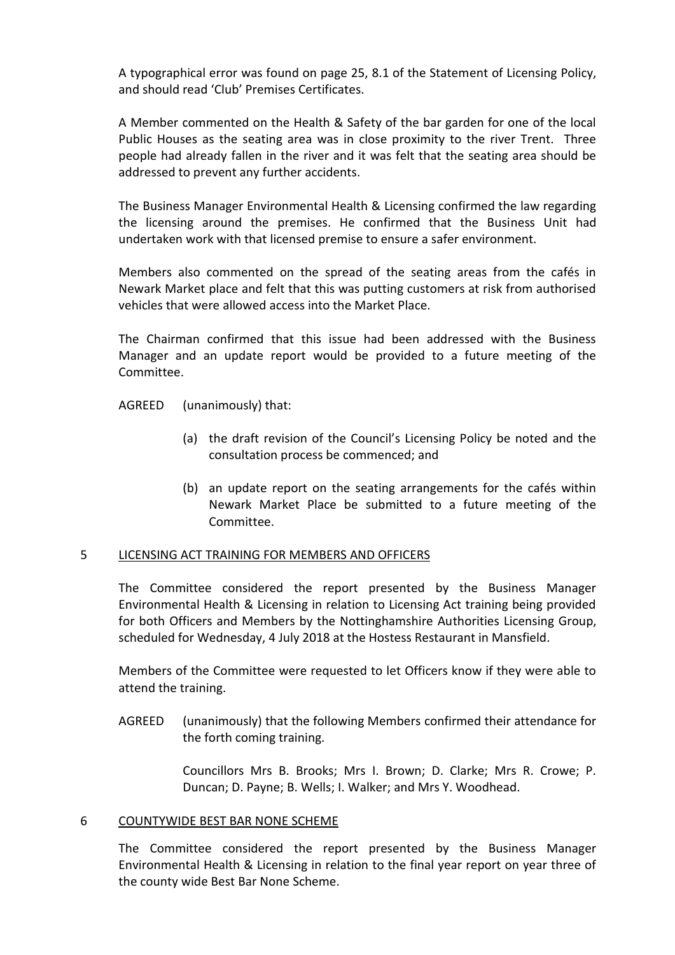A typographical error was found on page 25, 8.1 of the Statement of Licensing Policy, and should read 'Club' Premises Certificates.

A Member commented on the Health & Safety of the bar garden for one of the local Public Houses as the seating area was in close proximity to the river Trent. Three people had already fallen in the river and it was felt that the seating area should be addressed to prevent any further accidents.

The Business Manager Environmental Health & Licensing confirmed the law regarding the licensing around the premises. He confirmed that the Business Unit had undertaken work with that licensed premise to ensure a safer environment.

Members also commented on the spread of the seating areas from the cafés in Newark Market place and felt that this was putting customers at risk from authorised vehicles that were allowed access into the Market Place.

The Chairman confirmed that this issue had been addressed with the Business Manager and an update report would be provided to a future meeting of the Committee.

AGREED (unanimously) that:

- (a) the draft revision of the Council's Licensing Policy be noted and the consultation process be commenced; and
- (b) an update report on the seating arrangements for the cafés within Newark Market Place be submitted to a future meeting of the Committee.

## 5 LICENSING ACT TRAINING FOR MEMBERS AND OFFICERS

The Committee considered the report presented by the Business Manager Environmental Health & Licensing in relation to Licensing Act training being provided for both Officers and Members by the Nottinghamshire Authorities Licensing Group, scheduled for Wednesday, 4 July 2018 at the Hostess Restaurant in Mansfield.

Members of the Committee were requested to let Officers know if they were able to attend the training.

AGREED (unanimously) that the following Members confirmed their attendance for the forth coming training.

> Councillors Mrs B. Brooks; Mrs I. Brown; D. Clarke; Mrs R. Crowe; P. Duncan; D. Payne; B. Wells; I. Walker; and Mrs Y. Woodhead.

#### 6 COUNTYWIDE BEST BAR NONE SCHEME

The Committee considered the report presented by the Business Manager Environmental Health & Licensing in relation to the final year report on year three of the county wide Best Bar None Scheme.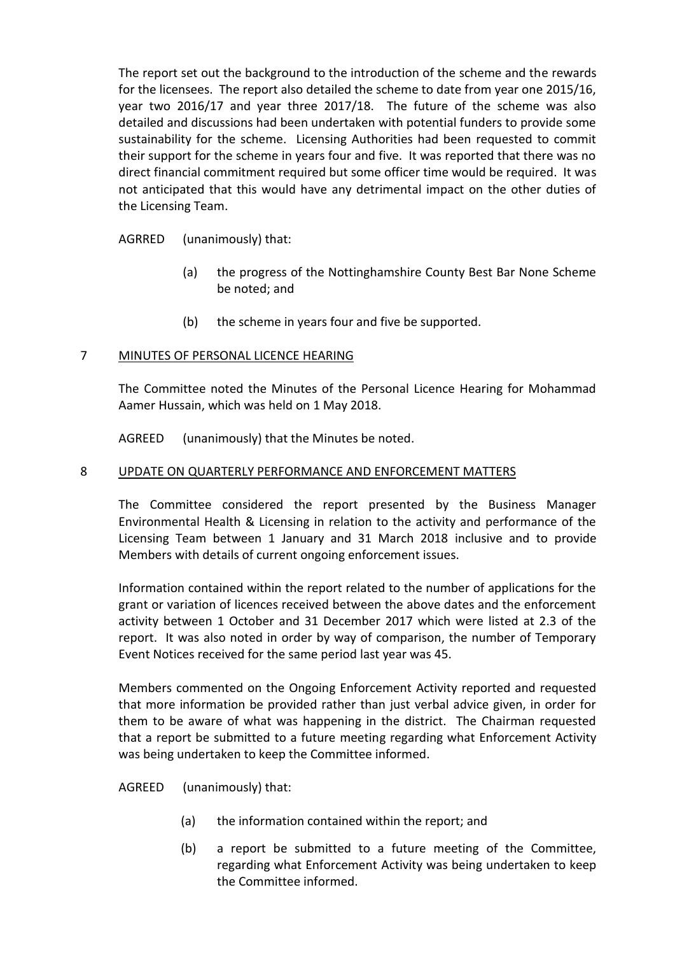The report set out the background to the introduction of the scheme and the rewards for the licensees. The report also detailed the scheme to date from year one 2015/16, year two 2016/17 and year three 2017/18. The future of the scheme was also detailed and discussions had been undertaken with potential funders to provide some sustainability for the scheme. Licensing Authorities had been requested to commit their support for the scheme in years four and five. It was reported that there was no direct financial commitment required but some officer time would be required. It was not anticipated that this would have any detrimental impact on the other duties of the Licensing Team.

AGRRED (unanimously) that:

- (a) the progress of the Nottinghamshire County Best Bar None Scheme be noted; and
- (b) the scheme in years four and five be supported.

# 7 MINUTES OF PERSONAL LICENCE HEARING

The Committee noted the Minutes of the Personal Licence Hearing for Mohammad Aamer Hussain, which was held on 1 May 2018.

AGREED (unanimously) that the Minutes be noted.

# 8 UPDATE ON QUARTERLY PERFORMANCE AND ENFORCEMENT MATTERS

The Committee considered the report presented by the Business Manager Environmental Health & Licensing in relation to the activity and performance of the Licensing Team between 1 January and 31 March 2018 inclusive and to provide Members with details of current ongoing enforcement issues.

Information contained within the report related to the number of applications for the grant or variation of licences received between the above dates and the enforcement activity between 1 October and 31 December 2017 which were listed at 2.3 of the report. It was also noted in order by way of comparison, the number of Temporary Event Notices received for the same period last year was 45.

Members commented on the Ongoing Enforcement Activity reported and requested that more information be provided rather than just verbal advice given, in order for them to be aware of what was happening in the district. The Chairman requested that a report be submitted to a future meeting regarding what Enforcement Activity was being undertaken to keep the Committee informed.

AGREED (unanimously) that:

- (a) the information contained within the report; and
- (b) a report be submitted to a future meeting of the Committee, regarding what Enforcement Activity was being undertaken to keep the Committee informed.